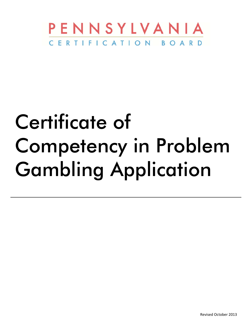

# Certificate of Competency in Problem Gambling Application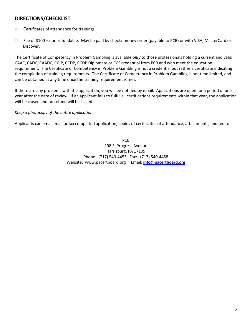# **DIRECTIONS/CHECKLIST**

- □ Certificates of attendance for trainings.
- □ Fee of \$100 non‐refundable. May be paid by check/ money order (payable to PCB) or with VISA, MasterCard or Discover.

The Certificate of Competency in Problem Gambling is available *only* to those professionals holding a current and valid CAAC, CADC, CAADC, CCJP, CCDP, CCDP Diplomate or CCS credential from PCB and who meet the education requirement. The Certificate of Competency in Problem Gambling is not a credential but rather a certificate indicating the completion of training requirements. The Certificate of Competency in Problem Gambling is not time limited, and can be obtained at any time once the training requirement is met.

If there are any problems with the application, you will be notified by email. Applications are open for a period of one year after the date of review. If an applicant fails to fulfill all certifications requirements within that year, the application will be closed and no refund will be issued.

#### *Keep a photocopy of the entire application.*

Applicants can email, mail or fax completed application, copies of certificates of attendance, attachments, and fee to:

PCB 298 S. Progress Avenue Harrisburg, PA 17109 Phone: (717) 540‐4455 Fax: (717) 540‐4458 Website:www.pacertboard.org Email: **info@pacertboard.org**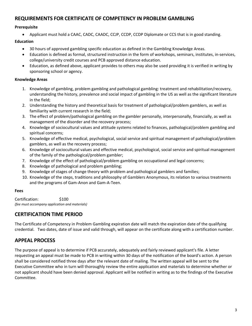# **REQUIREMENTS FOR CERTIFICATE OF COMPETENCY IN PROBLEM GAMBLING**

#### **Prerequisite**

Applicant must hold a CAAC, CADC, CAADC, CCJP, CCDP, CCDP Diplomate or CCS that is in good standing.

#### **Education**

- 30 hours of approved gambling specific education as defined in the Gambling Knowledge Areas.
- Education is defined as formal, structured instruction in the form of workshops, seminars, institutes, in‐services, college/university credit courses and PCB approved distance education.
- Education, as defined above, applicant provides to others may also be used providing it is verified in writing by sponsoring school or agency.

#### **Knowledge Areas**

- 1. Knowledge of gambling, problem gambling and pathological gambling: treatment and rehabilitation/recovery, understanding the history, prevalence and social impact of gambling in the US as well as the significant literature in the field;
- 2. Understanding the history and theoretical basis for treatment of pathological/problem gamblers, as well as familiarity with current research in the field;
- 3. The effect of problem/pathological gambling on the gambler personally, interpersonally, financially, as well as management of the disorder and the recovery process;
- 4. Knowledge of sociocultural values and attitude systems related to finances, pathological/problem gambling and spiritual concerns;
- 5. Knowledge of effective medical, psychological, social service and spiritual management of pathological/problem gamblers, as well as the recovery process;
- 6. Knowledge of sociocultural values and effective medical, psychological, social service and spiritual management of the family of the pathological/problem gambler;
- 7. Knowledge of the effect of pathological/problem gambling on occupational and legal concerns;
- 8. Knowledge of pathological and problem gambling;
- 9. Knowledge of stages of change theory with problem and pathological gamblers and families;
- 10. Knowledge of the steps, traditions and philosophy of Gamblers Anonymous, its relation to various treatments and the programs of Gam‐Anon and Gam‐A‐Teen.

#### **Fees**

Certification: \$100 *(fee must accompany application and materials)*

# **CERTIFICATION TIME PERIOD**

The Certificate of Competency in Problem Gambling expiration date will match the expiration date of the qualifying credential. Two dates, date of issue and valid through, will appear on the certificate along with a certification number.

# **APPEAL PROCESS**

The purpose of appeal is to determine if PCB accurately, adequately and fairly reviewed applicant's file. A letter requesting an appeal must be made to PCB in writing within 30 days of the notification of the board's action. A person shall be considered notified three days after the relevant date of mailing. The written appeal will be sent to the Executive Committee who in turn will thoroughly review the entire application and materials to determine whether or not applicant should have been denied approval. Applicant will be notified in writing as to the findings of the Executive Committee.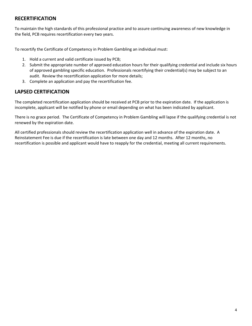# **RECERTIFICATION**

To maintain the high standards of this professional practice and to assure continuing awareness of new knowledge in the field, PCB requires recertification every two years.

To recertify the Certificate of Competency in Problem Gambling an individual must:

- 1. Hold a current and valid certificate issued by PCB;
- 2. Submit the appropriate number of approved education hours for their qualifying credential and include six hours of approved gambling specific education. Professionals recertifying their credential(s) may be subject to an audit. Review the recertification application for more details;
- 3. Complete an application and pay the recertification fee.

# **LAPSED CERTIFICATION**

The completed recertification application should be received at PCB prior to the expiration date. If the application is incomplete, applicant will be notified by phone or email depending on what has been indicated by applicant.

There is no grace period. The Certificate of Competency in Problem Gambling will lapse if the qualifying credential is not renewed by the expiration date.

All certified professionals should review the recertification application well in advance of the expiration date. A Reinstatement Fee is due if the recertification is late between one day and 12 months. After 12 months, no recertification is possible and applicant would have to reapply for the credential, meeting all current requirements.